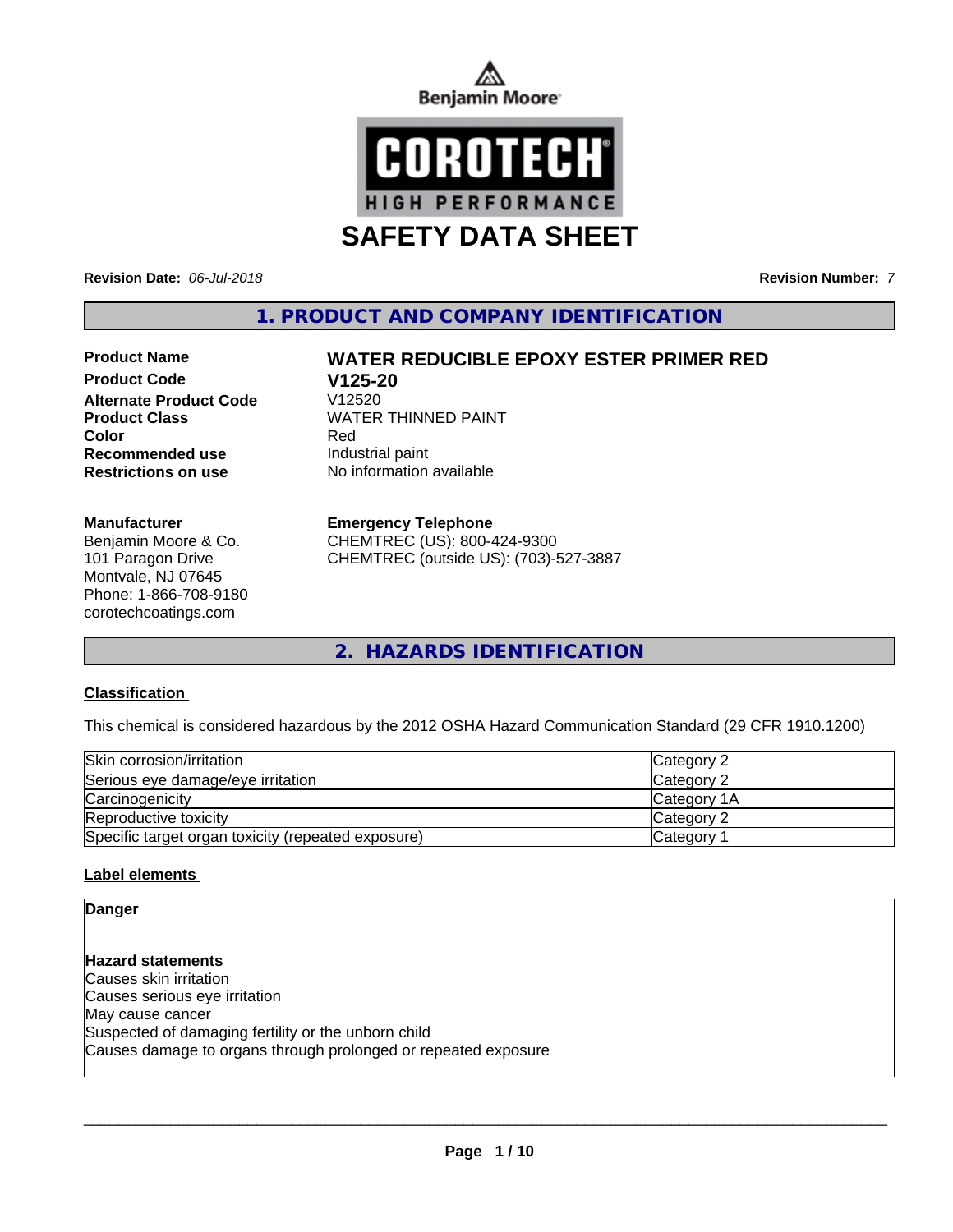



**Revision Date:** *06-Jul-2018* **Revision Number:** *7*

**1. PRODUCT AND COMPANY IDENTIFICATION**

# **Product Code V125-20 Alternate Product Code Recommended use Industrial paint**

#### **Manufacturer**

Benjamin Moore & Co. 101 Paragon Drive Montvale, NJ 07645 Phone: 1-866-708-9180 corotechcoatings.com

### **Product Name WATER REDUCIBLE EPOXY ESTER PRIMER RED**

**Product Class WATER THINNED PAINT Color** Red **Restrictions on use** No information available

#### **Emergency Telephone**

CHEMTREC (US): 800-424-9300 CHEMTREC (outside US): (703)-527-3887

**2. HAZARDS IDENTIFICATION**

#### **Classification**

This chemical is considered hazardous by the 2012 OSHA Hazard Communication Standard (29 CFR 1910.1200)

| Skin corrosion/irritation                          | <b>Category 2</b>  |
|----------------------------------------------------|--------------------|
| Serious eye damage/eye irritation                  | <b>Category 2</b>  |
| Carcinogenicity                                    | <b>Category 1A</b> |
| Reproductive toxicity                              | <b>Category 2</b>  |
| Specific target organ toxicity (repeated exposure) | Category           |

#### **Label elements**

**Danger**

**Hazard statements** Causes skin irritation Causes serious eye irritation May cause cancer Suspected of damaging fertility or the unborn child Causes damage to organs through prolonged or repeated exposure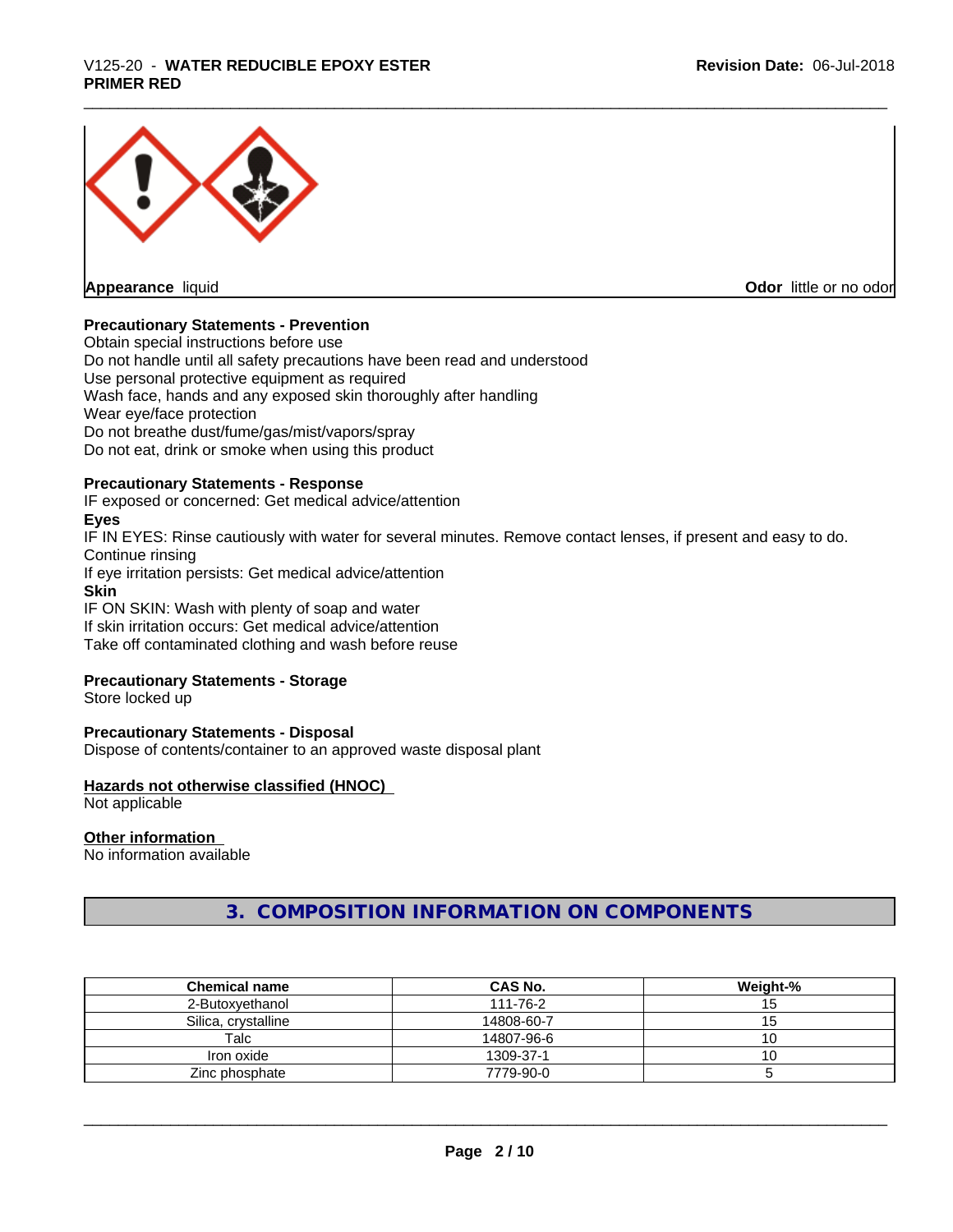### \_\_\_\_\_\_\_\_\_\_\_\_\_\_\_\_\_\_\_\_\_\_\_\_\_\_\_\_\_\_\_\_\_\_\_\_\_\_\_\_\_\_\_\_\_\_\_\_\_\_\_\_\_\_\_\_\_\_\_\_\_\_\_\_\_\_\_\_\_\_\_\_\_\_\_\_\_\_\_\_\_\_\_\_\_\_\_\_\_\_\_\_\_ V125-20 - **WATER REDUCIBLE EPOXY ESTER PRIMER RED**



**Appearance** liquid **Contract Contract Contract Contract Contract Contract Contract Contract Contract Contract Contract Contract Contract Contract Contract Contract Contract Contract Contract Contract Contract Contract Con** 

#### **Precautionary Statements - Prevention**

Obtain special instructions before use Do not handle until all safety precautions have been read and understood Use personal protective equipment as required Wash face, hands and any exposed skin thoroughly after handling Wear eye/face protection Do not breathe dust/fume/gas/mist/vapors/spray Do not eat, drink or smoke when using this product

#### **Precautionary Statements - Response**

IF exposed or concerned: Get medical advice/attention

#### **Eyes**

IF IN EYES: Rinse cautiously with water for several minutes. Remove contact lenses, if present and easy to do. Continue rinsing If eye irritation persists: Get medical advice/attention **Skin**

IF ON SKIN: Wash with plenty of soap and water If skin irritation occurs: Get medical advice/attention

Take off contaminated clothing and wash before reuse

#### **Precautionary Statements - Storage**

Store locked up

#### **Precautionary Statements - Disposal**

Dispose of contents/container to an approved waste disposal plant

#### **Hazards not otherwise classified (HNOC)**

Not applicable

#### **Other information**

No information available

### **3. COMPOSITION INFORMATION ON COMPONENTS**

| <b>Chemical name</b> | CAS No.    | Weight-% |
|----------------------|------------|----------|
| 2-Butoxvethanol      | 111-76-2   | ◡        |
| Silica, crystalline  | 14808-60-7 | ر ا      |
| Talc                 | 14807-96-6 |          |
| Iron oxide           | 1309-37-1  | ັບ       |
| Zinc phosphate       | 7779-90-0  |          |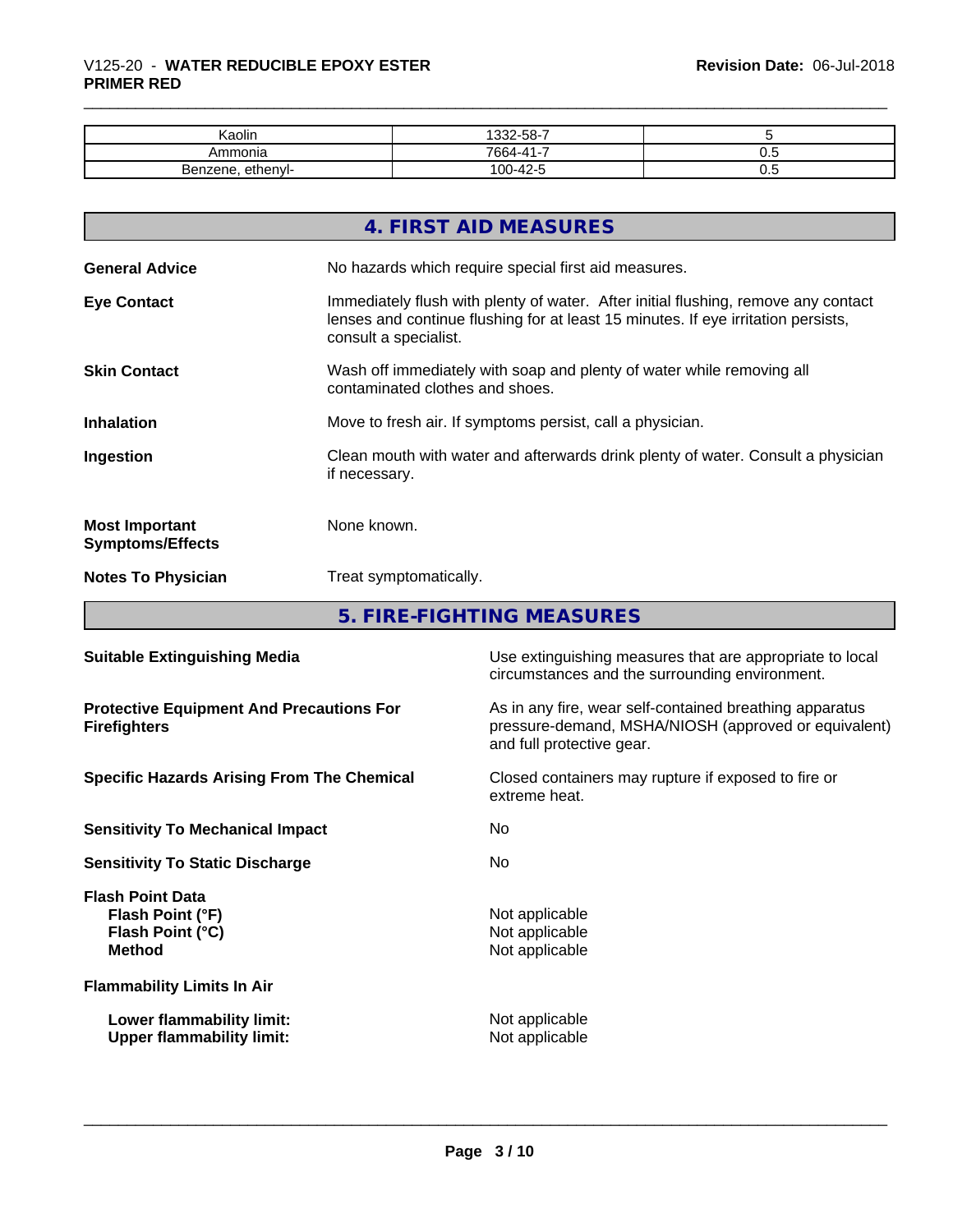| Kaolin                   | $\sim$ $\sim$<br>ィっつつ<br>.<br>-הה<br>ى-      |     |
|--------------------------|----------------------------------------------|-----|
| Ammonia                  | -41-7<br>7664-4                              | v.v |
| ethenyl-<br>⊿er<br>rene. | $\Lambda$ $\Omega$ $\Gamma$<br>$100-$<br>1-4 | ν.υ |

|                                                  | 4. FIRST AID MEASURES                                                                                                                                                                            |
|--------------------------------------------------|--------------------------------------------------------------------------------------------------------------------------------------------------------------------------------------------------|
| <b>General Advice</b>                            | No hazards which require special first aid measures.                                                                                                                                             |
| <b>Eye Contact</b>                               | Immediately flush with plenty of water. After initial flushing, remove any contact<br>lenses and continue flushing for at least 15 minutes. If eye irritation persists,<br>consult a specialist. |
| <b>Skin Contact</b>                              | Wash off immediately with soap and plenty of water while removing all<br>contaminated clothes and shoes.                                                                                         |
| <b>Inhalation</b>                                | Move to fresh air. If symptoms persist, call a physician.                                                                                                                                        |
| Ingestion                                        | Clean mouth with water and afterwards drink plenty of water. Consult a physician<br>if necessary.                                                                                                |
| <b>Most Important</b><br><b>Symptoms/Effects</b> | None known.                                                                                                                                                                                      |
| <b>Notes To Physician</b>                        | Treat symptomatically.                                                                                                                                                                           |

**5. FIRE-FIGHTING MEASURES**

| <b>Suitable Extinguishing Media</b>                                              | Use extinguishing measures that are appropriate to local<br>circumstances and the surrounding environment.                                   |
|----------------------------------------------------------------------------------|----------------------------------------------------------------------------------------------------------------------------------------------|
| <b>Protective Equipment And Precautions For</b><br><b>Firefighters</b>           | As in any fire, wear self-contained breathing apparatus<br>pressure-demand, MSHA/NIOSH (approved or equivalent)<br>and full protective gear. |
| <b>Specific Hazards Arising From The Chemical</b>                                | Closed containers may rupture if exposed to fire or<br>extreme heat.                                                                         |
| <b>Sensitivity To Mechanical Impact</b>                                          | No.                                                                                                                                          |
| <b>Sensitivity To Static Discharge</b>                                           | No.                                                                                                                                          |
| <b>Flash Point Data</b><br>Flash Point (°F)<br>Flash Point (°C)<br><b>Method</b> | Not applicable<br>Not applicable<br>Not applicable                                                                                           |
| <b>Flammability Limits In Air</b>                                                |                                                                                                                                              |
| Lower flammability limit:<br><b>Upper flammability limit:</b>                    | Not applicable<br>Not applicable                                                                                                             |
|                                                                                  |                                                                                                                                              |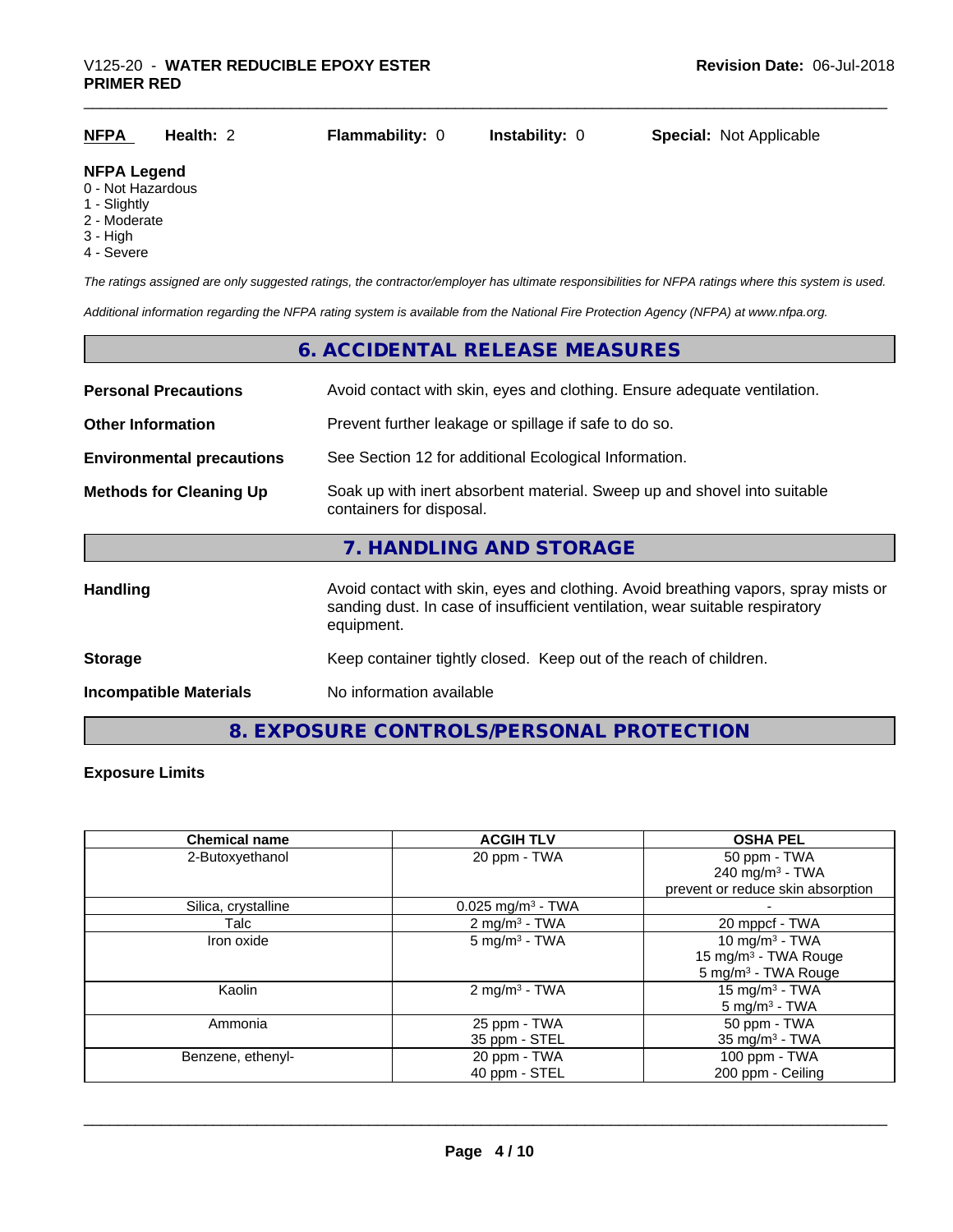|--|

#### **NFPA Legend**

- 0 Not Hazardous
- 1 Slightly
- 2 Moderate
- 3 High
- 4 Severe

*The ratings assigned are only suggested ratings, the contractor/employer has ultimate responsibilities for NFPA ratings where this system is used.*

*Additional information regarding the NFPA rating system is available from the National Fire Protection Agency (NFPA) at www.nfpa.org.*

## **6. ACCIDENTAL RELEASE MEASURES Personal Precautions** Avoid contact with skin, eyes and clothing. Ensure adequate ventilation. **Other Information** Prevent further leakage or spillage if safe to do so. **Environmental precautions** See Section 12 for additional Ecological Information. **Methods for Cleaning Up** Soak up with inert absorbent material. Sweep up and shovel into suitable containers for disposal. **7. HANDLING AND STORAGE** Handling **Handling** Avoid contact with skin, eyes and clothing. Avoid breathing vapors, spray mists or sanding dust. In case of insufficient ventilation, wear suitable respiratory equipment. **Storage** Keep container tightly closed. Keep out of the reach of children. **Incompatible Materials** No information available

**8. EXPOSURE CONTROLS/PERSONAL PROTECTION**

#### **Exposure Limits**

| <b>Chemical name</b> | <b>ACGIH TLV</b>                | <b>OSHA PEL</b>                   |
|----------------------|---------------------------------|-----------------------------------|
| 2-Butoxyethanol      | 20 ppm - TWA                    | 50 ppm - TWA                      |
|                      |                                 | 240 mg/m $3$ - TWA                |
|                      |                                 | prevent or reduce skin absorption |
| Silica, crystalline  | $0.025$ mg/m <sup>3</sup> - TWA |                                   |
| Talc                 | $2 \text{ mg/m}^3$ - TWA        | 20 mppcf - TWA                    |
| Iron oxide           | $5$ mg/m <sup>3</sup> - TWA     | 10 mg/m <sup>3</sup> - TWA        |
|                      |                                 | 15 mg/m <sup>3</sup> - TWA Rouge  |
|                      |                                 | 5 mg/m <sup>3</sup> - TWA Rouge   |
| Kaolin               | $2 \text{ mg/m}^3$ - TWA        | 15 mg/m <sup>3</sup> - TWA        |
|                      |                                 | $5 \text{ mg/m}^3$ - TWA          |
| Ammonia              | 25 ppm - TWA                    | 50 ppm - TWA                      |
|                      | 35 ppm - STEL                   | 35 mg/m $3$ - TWA                 |
| Benzene, ethenyl-    | 20 ppm - TWA                    | 100 ppm - TWA                     |
|                      | 40 ppm - STEL                   | 200 ppm - Ceiling                 |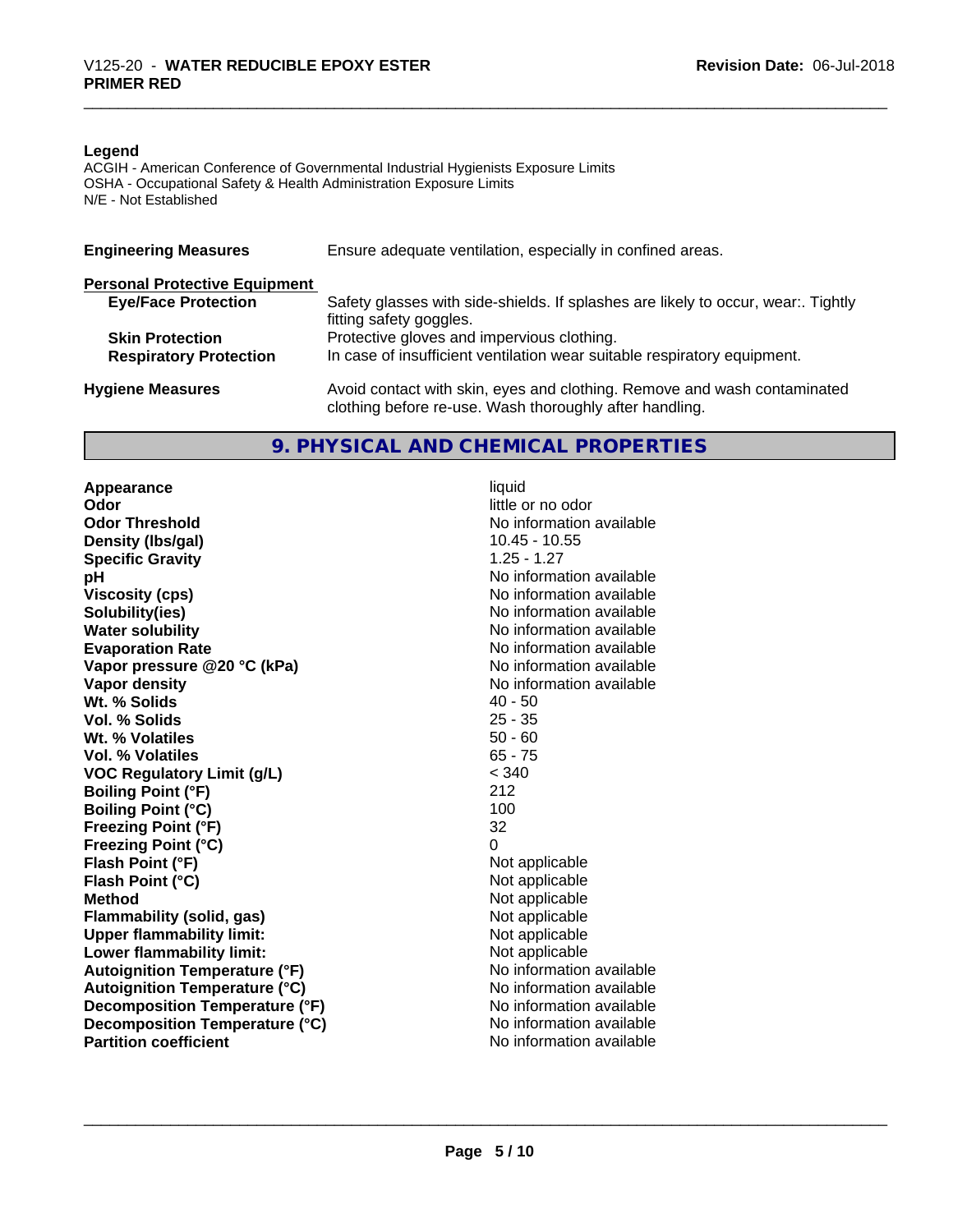#### **Legend**

ACGIH - American Conference of Governmental Industrial Hygienists Exposure Limits OSHA - Occupational Safety & Health Administration Exposure Limits N/E - Not Established

| <b>Engineering Measures</b>          | Ensure adequate ventilation, especially in confined areas.                                                                          |
|--------------------------------------|-------------------------------------------------------------------------------------------------------------------------------------|
| <b>Personal Protective Equipment</b> |                                                                                                                                     |
| <b>Eye/Face Protection</b>           | Safety glasses with side-shields. If splashes are likely to occur, wear:. Tightly<br>fitting safety goggles.                        |
| <b>Skin Protection</b>               | Protective gloves and impervious clothing.                                                                                          |
| <b>Respiratory Protection</b>        | In case of insufficient ventilation wear suitable respiratory equipment.                                                            |
| <b>Hygiene Measures</b>              | Avoid contact with skin, eyes and clothing. Remove and wash contaminated<br>clothing before re-use. Wash thoroughly after handling. |

#### **9. PHYSICAL AND CHEMICAL PROPERTIES**

**Appearance** liquid **Odor Odor** little or no odor<br> **Odor Threshold CODOR CODOR CODOR CODOR CODOR CODOR CODOR CODOR CODOR CODOR CODOR CODOR CODOR CODOR CODOR CODOR CODOR CODOR CODOR CODOR CODOR COD Density (lbs/gal)** 10.45 - 10.45 - 10.45 - 10.45 - 10.45 - 10.45 - 10.555 - 10.555 - 10.555 - 10.555 - 10.555 - 10.555 - 10.555 - 10.555 - 10.555 - 10.555 - 10.555 - 10.555 - 10.555 - 10.555 - 10.555 - 10.555 - 10.555 - 1 **Specific Gravity pH** No information available **Viscosity (cps)** No information available in the Viscosity (cps) **Solubility(ies)**<br> **Water solubility**<br> **Water solubility Evaporation Rate No information available No information available Vapor pressure @20 °C (kPa)** No information available<br> **Vapor density** No information available **Wt.** % Solids 40 - 50 **Vol. % Solids** 25 - 35 **Wt. % Volatiles Vol. % Volatiles** 65 - 75 **VOC Regulatory Limit (g/L)** < 340 **Boiling Point (°F) Boiling Point (°C)** 100 **Freezing Point (°F)** 32 **Freezing Point (°C)** 0 **Flash Point (°F)** Not applicable **Flash Point (°C)** Not applicable **Method** Not applicable **Flammability (solid, gas)** Not applicable<br> **Upper flammability limit:** Not applicable **Upper flammability limit:**<br> **Lower flammability limit:** Not applicable Not applicable **Lower flammability limit:**<br> **Autoignition Temperature (°F)** Not applicable Not applicable available **Autoignition Temperature (°F) Autoignition Temperature (°C)** No information available **Decomposition Temperature (°F)** No information available **Decomposition Temperature (°C)** No information available **Partition coefficient Community Contract Contract Contract Contract Contract Contract Contract Contract Contract Contract Contract Contract Contract Contract Contract Contract Contract Contract Contract Contract Contr** 

No information available<br>10.45 - 10.55 **No information available No information available**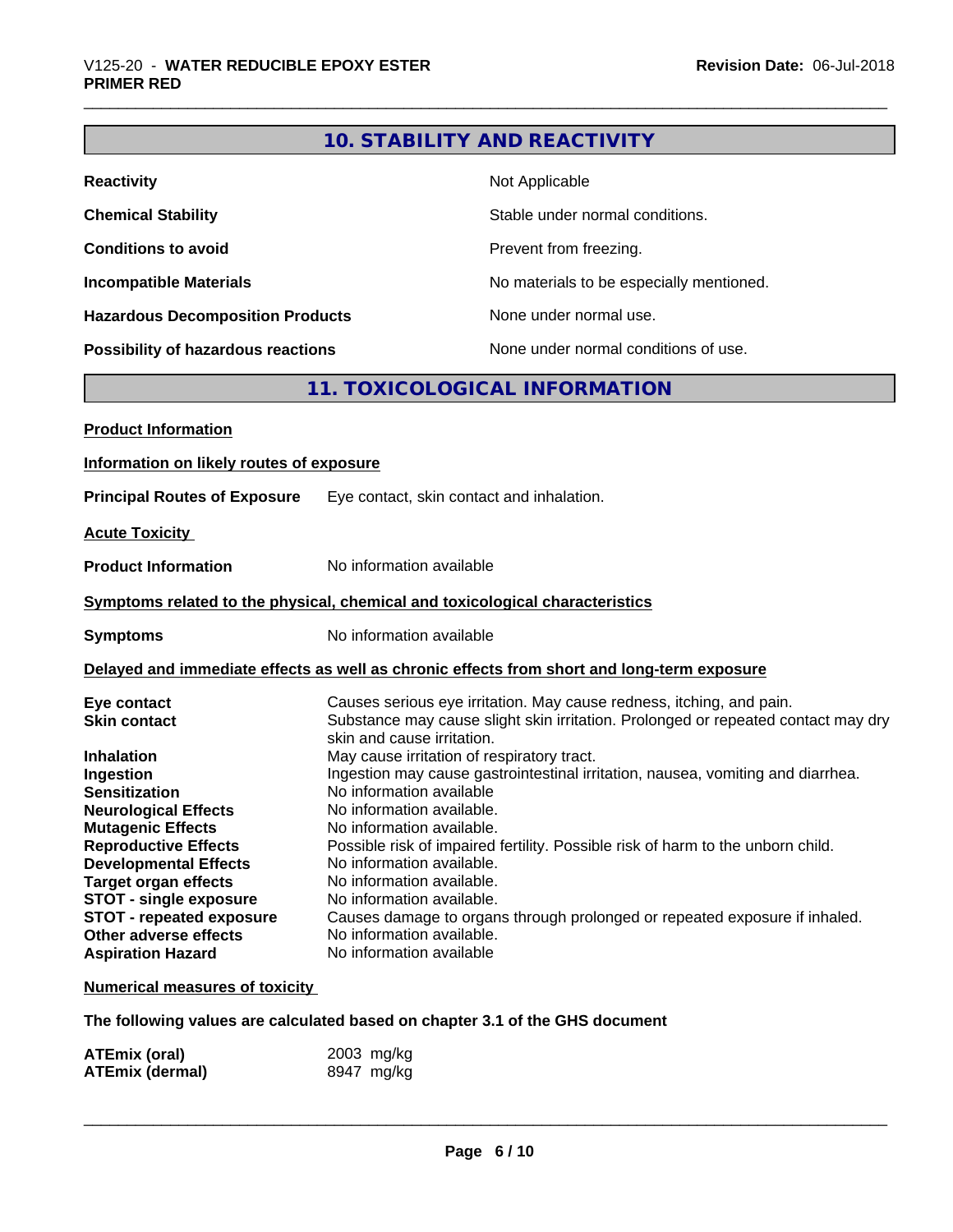### **10. STABILITY AND REACTIVITY**

| <b>Reactivity</b>                       | Not Applicable                           |
|-----------------------------------------|------------------------------------------|
| <b>Chemical Stability</b>               | Stable under normal conditions.          |
| <b>Conditions to avoid</b>              | Prevent from freezing.                   |
| <b>Incompatible Materials</b>           | No materials to be especially mentioned. |
| <b>Hazardous Decomposition Products</b> | None under normal use.                   |
| Possibility of hazardous reactions      | None under normal conditions of use.     |

### **11. TOXICOLOGICAL INFORMATION**

| <b>Product Information</b>                                                                                                                                                                                                                                                     |                                                                                                                                                                                                                                                                                                                                                                         |  |
|--------------------------------------------------------------------------------------------------------------------------------------------------------------------------------------------------------------------------------------------------------------------------------|-------------------------------------------------------------------------------------------------------------------------------------------------------------------------------------------------------------------------------------------------------------------------------------------------------------------------------------------------------------------------|--|
| Information on likely routes of exposure                                                                                                                                                                                                                                       |                                                                                                                                                                                                                                                                                                                                                                         |  |
| <b>Principal Routes of Exposure</b>                                                                                                                                                                                                                                            | Eye contact, skin contact and inhalation.                                                                                                                                                                                                                                                                                                                               |  |
| <b>Acute Toxicity</b>                                                                                                                                                                                                                                                          |                                                                                                                                                                                                                                                                                                                                                                         |  |
| <b>Product Information</b>                                                                                                                                                                                                                                                     | No information available                                                                                                                                                                                                                                                                                                                                                |  |
|                                                                                                                                                                                                                                                                                | Symptoms related to the physical, chemical and toxicological characteristics                                                                                                                                                                                                                                                                                            |  |
| <b>Symptoms</b>                                                                                                                                                                                                                                                                | No information available                                                                                                                                                                                                                                                                                                                                                |  |
| Delayed and immediate effects as well as chronic effects from short and long-term exposure                                                                                                                                                                                     |                                                                                                                                                                                                                                                                                                                                                                         |  |
| Eye contact<br><b>Skin contact</b><br><b>Inhalation</b><br>Ingestion<br><b>Sensitization</b>                                                                                                                                                                                   | Causes serious eye irritation. May cause redness, itching, and pain.<br>Substance may cause slight skin irritation. Prolonged or repeated contact may dry<br>skin and cause irritation.<br>May cause irritation of respiratory tract.<br>Ingestion may cause gastrointestinal irritation, nausea, vomiting and diarrhea.<br>No information available                    |  |
| <b>Neurological Effects</b><br><b>Mutagenic Effects</b><br><b>Reproductive Effects</b><br><b>Developmental Effects</b><br><b>Target organ effects</b><br><b>STOT - single exposure</b><br><b>STOT - repeated exposure</b><br>Other adverse effects<br><b>Aspiration Hazard</b> | No information available.<br>No information available.<br>Possible risk of impaired fertility. Possible risk of harm to the unborn child.<br>No information available.<br>No information available.<br>No information available.<br>Causes damage to organs through prolonged or repeated exposure if inhaled.<br>No information available.<br>No information available |  |

#### **Numerical measures of toxicity**

#### **The following values are calculated based on chapter 3.1 of the GHS document**

| <b>ATEmix (oral)</b>   | 2003 mg/kg |
|------------------------|------------|
| <b>ATEmix (dermal)</b> | 8947 mg/kg |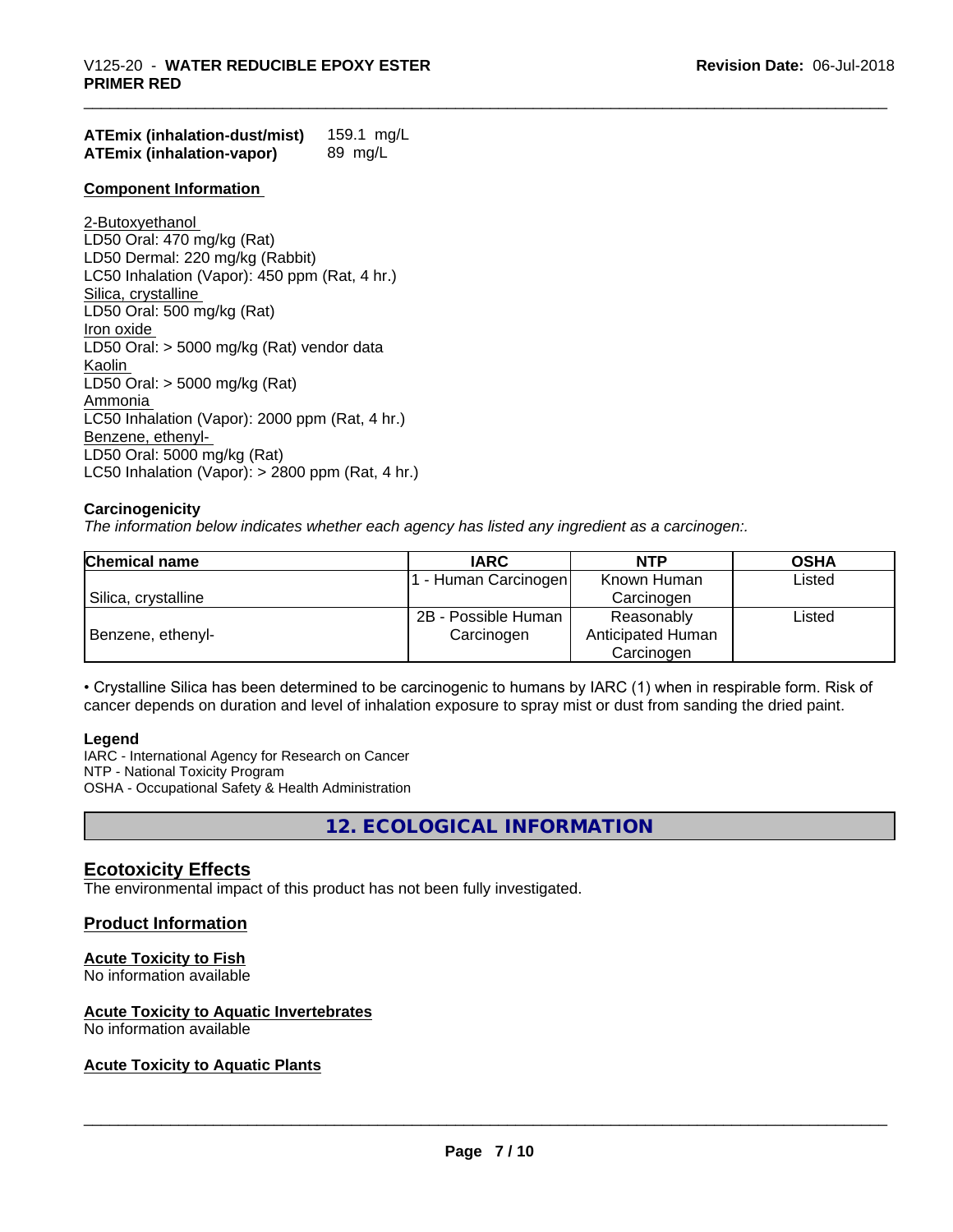| <b>ATEmix (inhalation-dust/mist)</b> | 159.1 mg/L |
|--------------------------------------|------------|
| <b>ATEmix (inhalation-vapor)</b>     | 89 mg/L    |

#### **Component Information**

2-Butoxyethanol LD50 Oral: 470 mg/kg (Rat) LD50 Dermal: 220 mg/kg (Rabbit) LC50 Inhalation (Vapor): 450 ppm (Rat, 4 hr.) Silica, crystalline LD50 Oral: 500 mg/kg (Rat) Iron oxide LD50 Oral: > 5000 mg/kg (Rat) vendor data Kaolin LD50 Oral: > 5000 mg/kg (Rat) Ammonia LC50 Inhalation (Vapor): 2000 ppm (Rat, 4 hr.) Benzene, ethenyl-LD50 Oral: 5000 mg/kg (Rat) LC50 Inhalation (Vapor): > 2800 ppm (Rat, 4 hr.)

#### **Carcinogenicity**

*The information below indicateswhether each agency has listed any ingredient as a carcinogen:.*

| <b>Chemical name</b> | <b>IARC</b>          | NTP               | <b>OSHA</b> |
|----------------------|----------------------|-------------------|-------------|
|                      | 1 - Human Carcinogen | Known Human       | Listed      |
| Silica, crystalline  |                      | Carcinogen        |             |
|                      | 2B - Possible Human  | Reasonably        | Listed      |
| Benzene, ethenyl-    | Carcinogen           | Anticipated Human |             |
|                      |                      | Carcinogen        |             |

• Crystalline Silica has been determined to be carcinogenic to humans by IARC (1) when in respirable form. Risk of cancer depends on duration and level of inhalation exposure to spray mist or dust from sanding the dried paint.

#### **Legend**

IARC - International Agency for Research on Cancer NTP - National Toxicity Program OSHA - Occupational Safety & Health Administration

**12. ECOLOGICAL INFORMATION**

#### **Ecotoxicity Effects**

The environmental impact of this product has not been fully investigated.

#### **Product Information**

#### **Acute Toxicity to Fish**

No information available

#### **Acute Toxicity to Aquatic Invertebrates**

No information available

#### **Acute Toxicity to Aquatic Plants**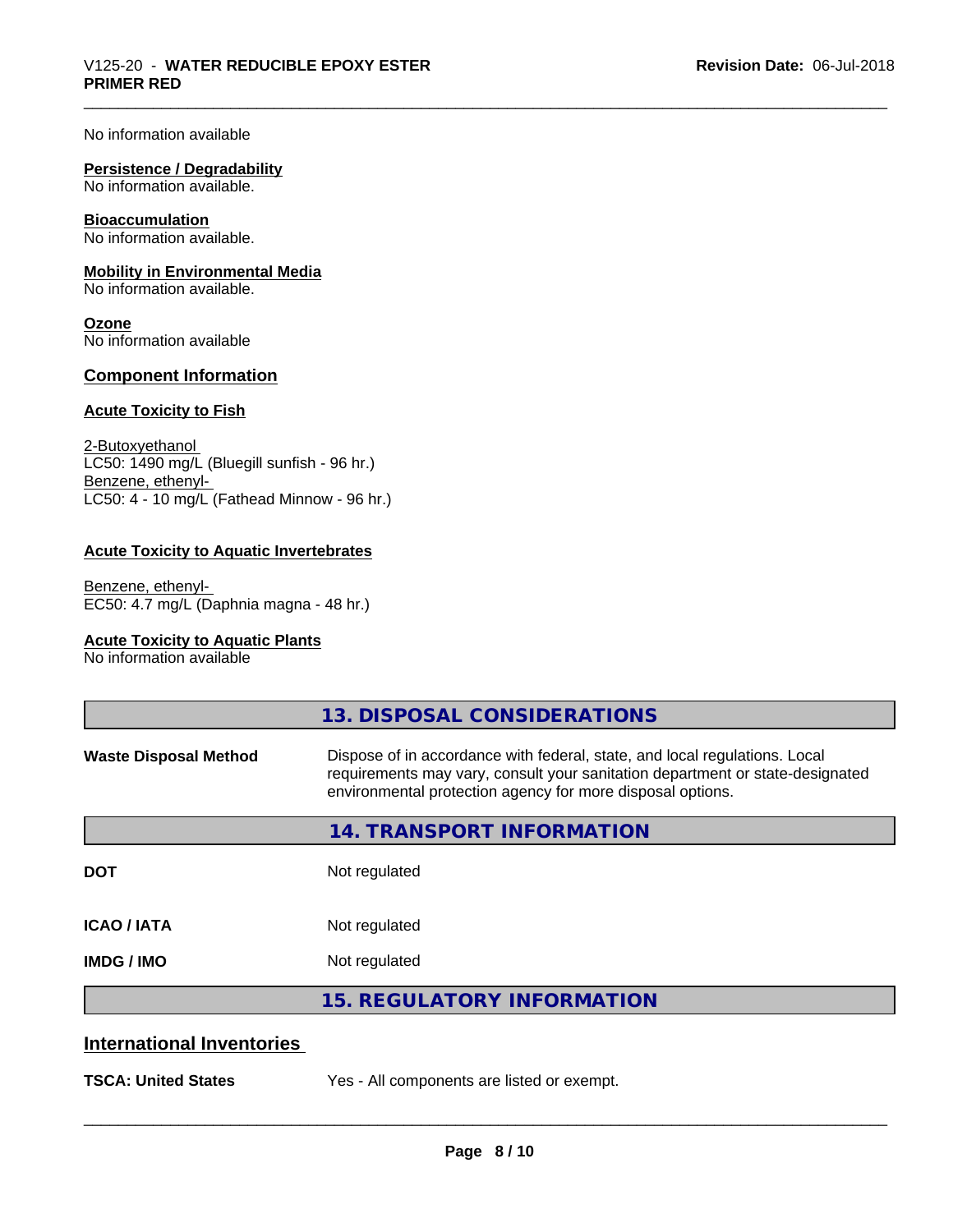No information available

#### **Persistence / Degradability**

No information available.

#### **Bioaccumulation**

No information available.

#### **Mobility in Environmental Media**

No information available.

**Ozone** No information available

#### **Component Information**

#### **Acute Toxicity to Fish**

2-Butoxyethanol LC50: 1490 mg/L (Bluegill sunfish - 96 hr.) Benzene, ethenyl-LC50: 4 - 10 mg/L (Fathead Minnow - 96 hr.)

#### **Acute Toxicity to Aquatic Invertebrates**

Benzene, ethenyl-EC50: 4.7 mg/L (Daphnia magna - 48 hr.)

#### **Acute Toxicity to Aquatic Plants**

No information available

|                                  | 13. DISPOSAL CONSIDERATIONS                                                                                                                                                                                               |
|----------------------------------|---------------------------------------------------------------------------------------------------------------------------------------------------------------------------------------------------------------------------|
| <b>Waste Disposal Method</b>     | Dispose of in accordance with federal, state, and local regulations. Local<br>requirements may vary, consult your sanitation department or state-designated<br>environmental protection agency for more disposal options. |
|                                  | <b>14. TRANSPORT INFORMATION</b>                                                                                                                                                                                          |
| <b>DOT</b>                       | Not regulated                                                                                                                                                                                                             |
| <b>ICAO/IATA</b>                 | Not regulated                                                                                                                                                                                                             |
| <b>IMDG / IMO</b>                | Not regulated                                                                                                                                                                                                             |
|                                  | <b>15. REGULATORY INFORMATION</b>                                                                                                                                                                                         |
| <b>International Inventories</b> |                                                                                                                                                                                                                           |
| <b>TSCA: United States</b>       | Yes - All components are listed or exempt.                                                                                                                                                                                |
|                                  |                                                                                                                                                                                                                           |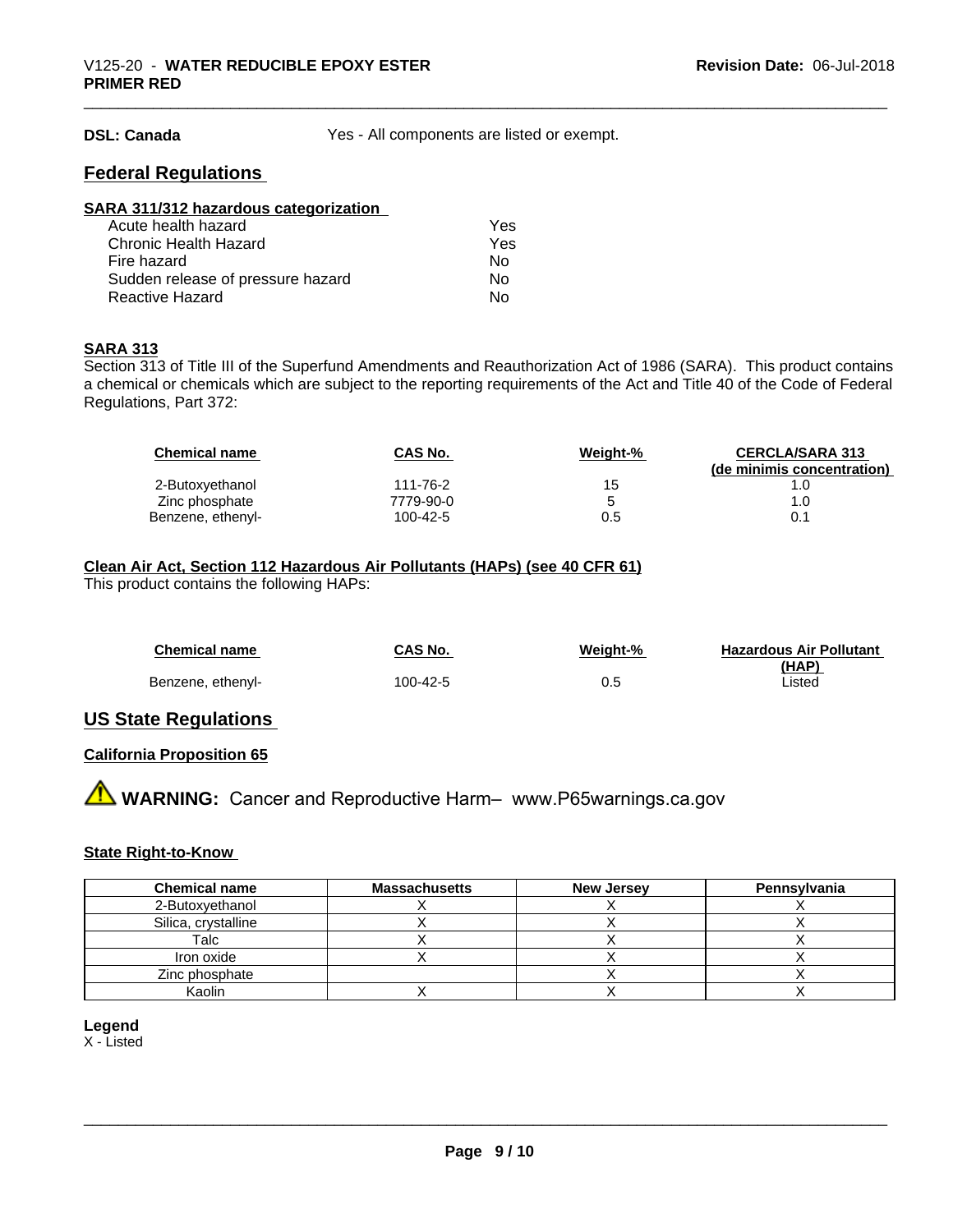**DSL: Canada** Yes - All components are listed or exempt.

#### **Federal Regulations**

| SARA 311/312 hazardous categorization |     |  |
|---------------------------------------|-----|--|
| Acute health hazard                   | Yes |  |
| Chronic Health Hazard                 | Yes |  |
| Fire hazard                           | Nο  |  |
| Sudden release of pressure hazard     | Nο  |  |
| <b>Reactive Hazard</b>                | No  |  |

#### **SARA 313**

Section 313 of Title III of the Superfund Amendments and Reauthorization Act of 1986 (SARA). This product contains a chemical or chemicals which are subject to the reporting requirements of the Act and Title 40 of the Code of Federal Regulations, Part 372:

| <b>Chemical name</b> | CAS No.   | Weight-% | <b>CERCLA/SARA 313</b><br>(de minimis concentration) |
|----------------------|-----------|----------|------------------------------------------------------|
| 2-Butoxyethanol      | 111-76-2  | 15       |                                                      |
| Zinc phosphate       | 7779-90-0 |          | 1.0                                                  |
| Benzene, ethenyl-    | 100-42-5  | 0.5      | 0.1                                                  |

#### **Clean Air Act,Section 112 Hazardous Air Pollutants (HAPs) (see 40 CFR 61)**

This product contains the following HAPs:

| <b>Chemical name</b> | CAS No.  | Weight-% | <b>Hazardous Air Pollutant</b> |
|----------------------|----------|----------|--------------------------------|
| Benzene, ethenyl-    | 100-42-5 | 0.5      | (HAP)<br>∟isted                |

#### **US State Regulations**

#### **California Proposition 65**

**AVIMARNING:** Cancer and Reproductive Harm– www.P65warnings.ca.gov

#### **State Right-to-Know**

| <b>Chemical name</b> | <b>Massachusetts</b> | <b>New Jersey</b> | Pennsylvania |
|----------------------|----------------------|-------------------|--------------|
| 2-Butoxyethanol      |                      |                   |              |
| Silica, crystalline  |                      |                   |              |
| Talc                 |                      |                   |              |
| Iron oxide           |                      |                   |              |
| Zinc phosphate       |                      |                   |              |
| Kaolin               |                      |                   |              |

**Legend**

X - Listed